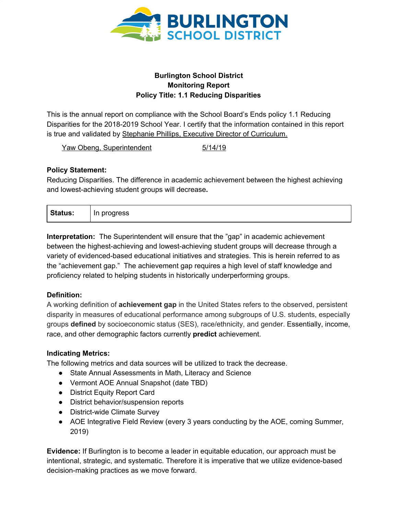

## **Burlington School District Monitoring Report Policy Title: 1.1 Reducing Disparities**

This is the annual report on compliance with the School Board's Ends policy 1.1 Reducing Disparities for the 2018-2019 School Year. I certify that the information contained in this report is true and validated by Stephanie Phillips, Executive Director of Curriculum.

Yaw Obeng, Superintendent 5/14/19

## **Policy Statement:**

Reducing Disparities. The difference in academic achievement between the highest achieving and lowest-achieving student groups will decrease**.**

| $\mathbf{C}$<br><b>Status:</b> | progress<br>In.<br>. . |
|--------------------------------|------------------------|
|--------------------------------|------------------------|

**Interpretation:** The Superintendent will ensure that the "gap" in academic achievement between the highest-achieving and lowest-achieving student groups will decrease through a variety of evidenced-based educational initiatives and strategies. This is herein referred to as the "achievement gap." The achievement gap requires a high level of staff knowledge and proficiency related to helping students in historically underperforming groups.

# **Definition:**

A working definition of **achievement gap** in the United States refers to the observed, persistent disparity in measures of educational performance among subgroups of U.S. students, especially groups **defined** by socioeconomic status (SES), race/ethnicity, and gender. Essentially, income, race, and other demographic factors currently **predict** achievement.

# **Indicating Metrics:**

The following metrics and data sources will be utilized to track the decrease.

- State Annual Assessments in Math, Literacy and Science
- Vermont AOE Annual Snapshot (date TBD)
- District Equity Report Card
- District behavior/suspension reports
- District-wide Climate Survey
- AOE Integrative Field Review (every 3 years conducting by the AOE, coming Summer, 2019)

**Evidence:** If Burlington is to become a leader in equitable education, our approach must be intentional, strategic, and systematic. Therefore it is imperative that we utilize evidence-based decision-making practices as we move forward.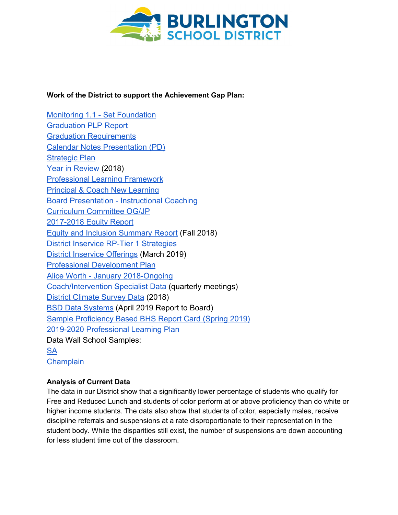

#### **Work of the District to support the Achievement Gap Plan:**

[Monitoring 1.1 - Set Foundation](https://www.boarddocs.com/vt/bsdvt/Board.nsf/files/AUUUWD7BEA76/$file/Presentation%201.1%20.pdf) [Graduation PLP Report](https://www.boarddocs.com/vt/bsdvt/Board.nsf/files/AVTMWV5D493C/$file/Graduation%20and%20PLP%20Report%20Feb%202018.pptx.pdf) [Graduation Requirements](https://www.boarddocs.com/vt/bsdvt/Board.nsf/files/AVTRLP6E1C26/$file/Graduation%20Requirements%20Comparison%20.pdf) [Calendar Notes Presentation \(PD\)](https://www.boarddocs.com/vt/bsdvt/Board.nsf/files/AYFR4B6C0038/$file/Proposed%20Calendar%20Notes.pdf) [Strategic Plan](https://www.boarddocs.com/vt/bsdvt/Board.nsf/files/AZP3RJ082096/$file/June2018_BoardPresentation.pdf) [Year in Review](https://www.boarddocs.com/vt/bsdvt/Board.nsf/files/AZNNXG620D6A/$file/17-18%20Year%20in%20Review%20for%20Board.pdf) (2018) [Professional Learning Framework](https://docs.google.com/document/d/16pYBIODV9G8r94JFIV4O4Ws1l8tmRA3SMxcLRiu80Is/edit?usp=sharing) [Principal & Coach New Learning](https://drive.google.com/open?id=0B60KoZ-xP9urM1BkTmc5cE1WRk9KNl9iYzRBeUZHQmp4MFhz) [Board Presentation - Instructional Coaching](https://www.boarddocs.com/vt/bsdvt/Board.nsf/files/B3MVSQ822CB3/$file/August_BoardPres.pdf) [Curriculum Committee OG/JP](https://docs.google.com/document/d/1roevU7JjtwvR_FNhzQl34an5iKPMX-IOZBJCgdKJsng/edit?usp=sharing) [2017-2018 Equity Report](https://www.boarddocs.com/vt/bsdvt/Board.nsf/files/B6HKXG53FFC6/$file/11.7.18%20Final%20Equity%20and%20Inclusion%202018%20Data%20Report.pdf) [Equity and Inclusion Summary Report](https://www.boarddocs.com/vt/bsdvt/Board.nsf/files/B6GS4K683F76/$file/Equity%20Report%20Fall%202018.pdf) (Fall 2018) [District Inservice RP-Tier 1 Strategies](https://docs.google.com/document/d/1k-heNAGPydFfmHpfwRVSU-qJ3M0h-0mMEvSY171vJfg/edit?usp=sharing) [District Inservice Offerings](https://docs.google.com/document/d/1xA22pH0xS8ufBe4lL2lO952_JVgfAmbbmiTp3_xeDvM/edit?usp=sharing) (March 2019) [Professional Development Plan](https://docs.google.com/document/d/16pYBIODV9G8r94JFIV4O4Ws1l8tmRA3SMxcLRiu80Is/edit?usp=sharing) [Alice Worth - January 2018-Ongoing](https://docs.google.com/presentation/d/1OdguQzjNy_gOzhyJY5HvFNQd_PYyiH58nODBE30v3Uc/edit?usp=sharing) [Coach/Intervention Specialist Data](https://docs.google.com/presentation/d/1fJs891TC5erpwpcAPubcjpLJbfx_yx-IM1pryZGPfV4/edit?usp=sharing) (quarterly meetings) [District Climate Survey Data](https://www.bsdvt.org/climate-survey/) (2018) [BSD Data Systems](https://go.boarddocs.com/vt/bsdvt/Board.nsf/files/BAXQN957F911/$file/For%20School%20Board_%20Data%20Systems%20Presentation%2C%20April%202019.pdf) (April 2019 Report to Board) [Sample Proficiency Based BHS Report Card \(Spring 2019\)](https://dochub.com/stephaniephillips27f8aa10/pm4PXQ/current-report-card-png?dt=ms-HCpxV4pbpGvK1DyTM) [2019-2020 Professional Learning Plan](https://docs.google.com/document/d/1okfOsLElW9-sYrfERIpGvhYIE6MqGmSf24QJb-5gmq4/edit) Data Wall School Samples: [SA](https://docs.google.com/spreadsheets/d/1fui0yH4Y1FuMy_x2qhtPExvlYUB_zwcN6qVyU5imgNU/edit?usp=sharing)

**[Champlain](https://docs.google.com/spreadsheets/d/1Pg16ZLpMhYV4wr-2MqB-X-PjU9-ju9KpE9aq6jsK8yM/edit?usp=sharing)** 

#### **Analysis of Current Data**

The data in our District show that a significantly lower percentage of students who qualify for Free and Reduced Lunch and students of color perform at or above proficiency than do white or higher income students. The data also show that students of color, especially males, receive discipline referrals and suspensions at a rate disproportionate to their representation in the student body. While the disparities still exist, the number of suspensions are down accounting for less student time out of the classroom.